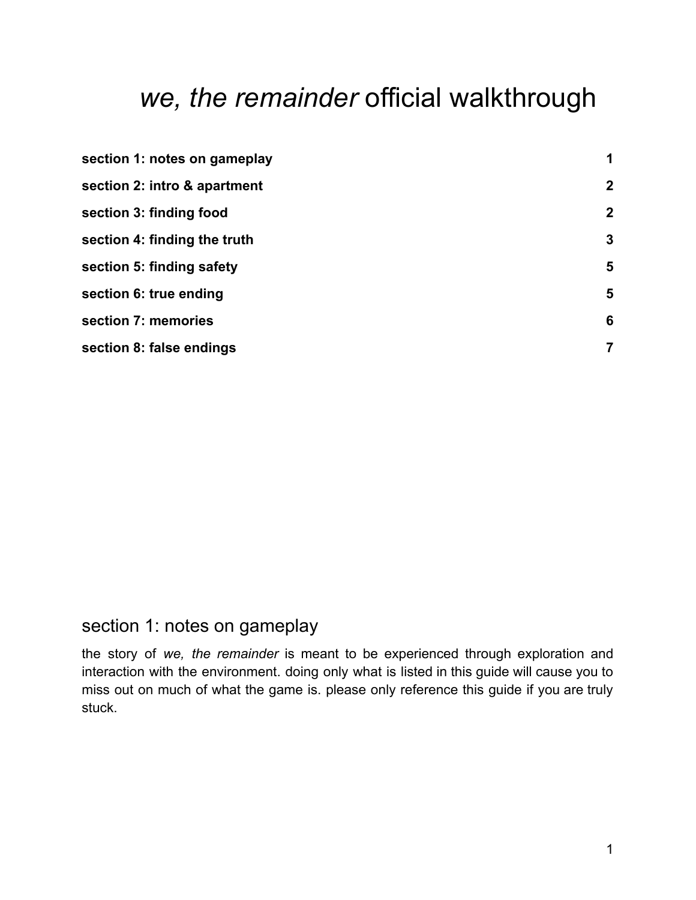# *we, the remainder* official walkthrough

| section 1: notes on gameplay | 1                |
|------------------------------|------------------|
| section 2: intro & apartment | $\boldsymbol{2}$ |
| section 3: finding food      | $\boldsymbol{2}$ |
| section 4: finding the truth | 3                |
| section 5: finding safety    | 5                |
| section 6: true ending       | 5                |
| section 7: memories          | 6                |
| section 8: false endings     | 7                |

## <span id="page-0-0"></span>section 1: notes on gameplay

the story of *we, the remainder* is meant to be experienced through exploration and interaction with the environment. doing only what is listed in this guide will cause you to miss out on much of what the game is. please only reference this guide if you are truly stuck.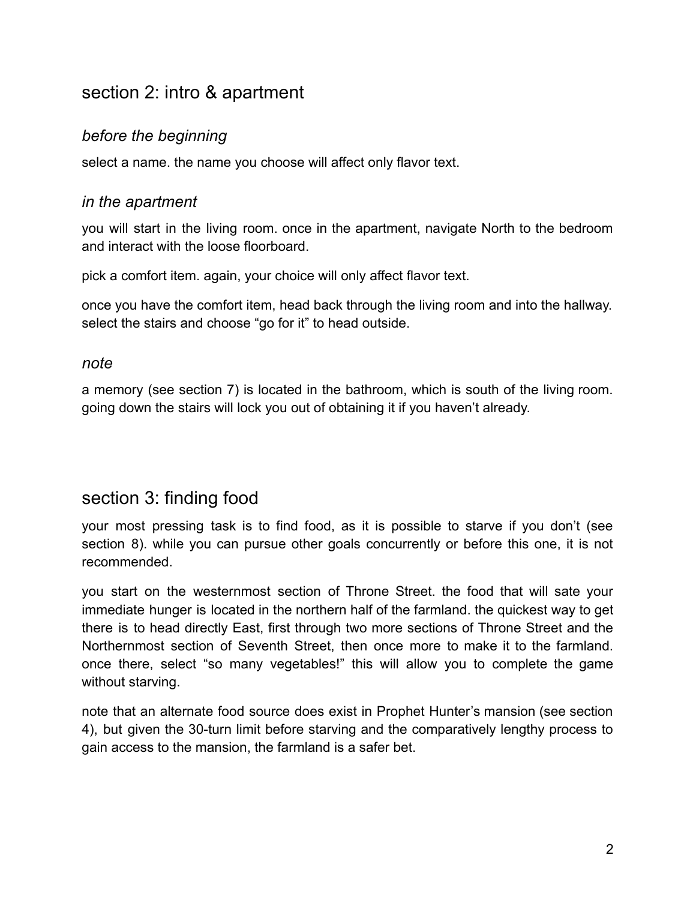## <span id="page-1-0"></span>section 2: intro & apartment

#### *before the beginning*

select a name. the name you choose will affect only flavor text.

#### *in the apartment*

you will start in the living room. once in the apartment, navigate North to the bedroom and interact with the loose floorboard.

pick a comfort item. again, your choice will only affect flavor text.

once you have the comfort item, head back through the living room and into the hallway. select the stairs and choose "go for it" to head outside.

#### *note*

a memory (see section 7) is located in the bathroom, which is south of the living room. going down the stairs will lock you out of obtaining it if you haven't already.

## section 3: finding food

your most pressing task is to find food, as it is possible to starve if you don't (see section 8), while you can pursue other goals concurrently or before this one, it is not recommended.

you start on the westernmost section of Throne Street. the food that will sate your immediate hunger is located in the northern half of the farmland. the quickest way to get there is to head directly East, first through two more sections of Throne Street and the Northernmost section of Seventh Street, then once more to make it to the farmland. once there, select "so many vegetables!" this will allow you to complete the game without starving.

note that an alternate food source does exist in Prophet Hunter's mansion (see section 4), but given the 30-turn limit before starving and the comparatively lengthy process to gain access to the mansion, the farmland is a safer bet.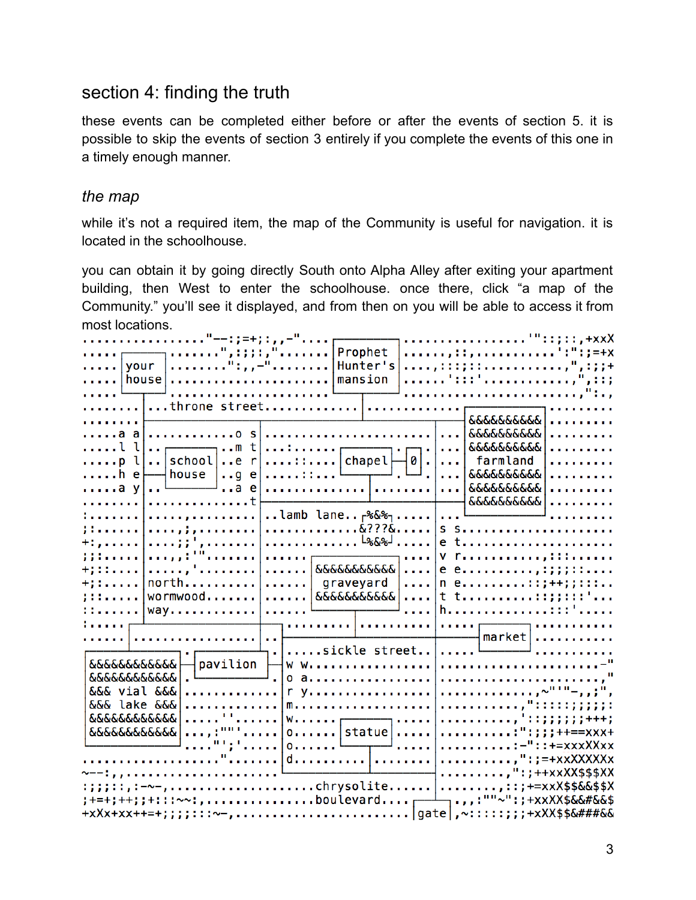## <span id="page-2-0"></span>section 4: finding the truth

these events can be completed either before or after the events of section 5. it is possible to skip the events of section 3 entirely if you complete the events of this one in a timely enough manner.

#### *the map*

while it's not a required item, the map of the Community is useful for navigation. it is located in the schoolhouse.

you can obtain it by going directly South onto Alpha Alley after exiting your apartment building, then West to enter the schoolhouse. once there, click "a map of the Community." you'll see it displayed, and from then on you will be able to access it from most locations.

| . "--: ; =+; : , , -"                                                                                                                                                                                                                                                                                                                                                                                                                                                                                                                                                                                                                                     | . '": : ; : : , +xxX                                                                                                                                                                                                                                                                                                                                                                                                                                                                         |
|-----------------------------------------------------------------------------------------------------------------------------------------------------------------------------------------------------------------------------------------------------------------------------------------------------------------------------------------------------------------------------------------------------------------------------------------------------------------------------------------------------------------------------------------------------------------------------------------------------------------------------------------------------------|----------------------------------------------------------------------------------------------------------------------------------------------------------------------------------------------------------------------------------------------------------------------------------------------------------------------------------------------------------------------------------------------------------------------------------------------------------------------------------------------|
| Prophet                                                                                                                                                                                                                                                                                                                                                                                                                                                                                                                                                                                                                                                   | $\ldots \ldots \ldots$                                                                                                                                                                                                                                                                                                                                                                                                                                                                       |
| <sup>6</sup> : ; ; <del>.</del><br><u> </u> your<br>Hunter's                                                                                                                                                                                                                                                                                                                                                                                                                                                                                                                                                                                              |                                                                                                                                                                                                                                                                                                                                                                                                                                                                                              |
| house <br>mansion                                                                                                                                                                                                                                                                                                                                                                                                                                                                                                                                                                                                                                         |                                                                                                                                                                                                                                                                                                                                                                                                                                                                                              |
| .                                                                                                                                                                                                                                                                                                                                                                                                                                                                                                                                                                                                                                                         |                                                                                                                                                                                                                                                                                                                                                                                                                                                                                              |
| throne street <br>. 1                                                                                                                                                                                                                                                                                                                                                                                                                                                                                                                                                                                                                                     |                                                                                                                                                                                                                                                                                                                                                                                                                                                                                              |
| <u>.</u>                                                                                                                                                                                                                                                                                                                                                                                                                                                                                                                                                                                                                                                  | .<br><b>&amp;&amp;&amp;&amp;&amp;&amp;&amp;&amp;&amp;</b>                                                                                                                                                                                                                                                                                                                                                                                                                                    |
|                                                                                                                                                                                                                                                                                                                                                                                                                                                                                                                                                                                                                                                           |                                                                                                                                                                                                                                                                                                                                                                                                                                                                                              |
| a a <br>. 0                                                                                                                                                                                                                                                                                                                                                                                                                                                                                                                                                                                                                                               | .<br>$\sim$                                                                                                                                                                                                                                                                                                                                                                                                                                                                                  |
| $$ $ $ $n$ t<br>l ll                                                                                                                                                                                                                                                                                                                                                                                                                                                                                                                                                                                                                                      | ା <b>· · ·   ୧</b> ୯୧୯୧୯୧୯୧୯  <br><u>.</u>                                                                                                                                                                                                                                                                                                                                                                                                                                                   |
| $\begin{tabular}{ c c c c } \hline \quad \quad & \quad \quad & \quad \quad & \quad \quad & \quad \quad \\ \hline \quad \quad & \quad \quad & \quad \quad & \quad \quad & \quad \quad & \quad \quad \\ \hline \quad \quad & \quad \quad & \quad \quad & \quad \quad & \quad \quad \\ \hline \quad \quad & \quad \quad & \quad \quad & \quad \quad & \quad \quad \\ \hline \quad \quad & \quad \quad & \quad \quad & \quad \quad \\ \hline \quad \quad & \quad \quad & \quad \quad & \quad \quad \\ \hline \quad \quad & \quad \quad & \quad \quad & \quad \quad \\ \hline \quad \quad & \quad \quad & \quad \quad \\$<br>$\ldots$ school $\ldots$ r<br>p l | farmland<br>.                                                                                                                                                                                                                                                                                                                                                                                                                                                                                |
| — house  g e :: <sup>L</sup><br>$\ldots$ .he                                                                                                                                                                                                                                                                                                                                                                                                                                                                                                                                                                                                              | .   &&&&&&&&&& <br>.                                                                                                                                                                                                                                                                                                                                                                                                                                                                         |
| $\ldots$ .a y                                                                                                                                                                                                                                                                                                                                                                                                                                                                                                                                                                                                                                             | <b>.   რღღღღღღღღ</b>  <br>.                                                                                                                                                                                                                                                                                                                                                                                                                                                                  |
| . t<br>.                                                                                                                                                                                                                                                                                                                                                                                                                                                                                                                                                                                                                                                  | <u> 66666666666  </u>                                                                                                                                                                                                                                                                                                                                                                                                                                                                        |
| , lamb lane <sub>r</sub> %&% <sub>1</sub>  <br>1.1.1.1.1.1.                                                                                                                                                                                                                                                                                                                                                                                                                                                                                                                                                                                               |                                                                                                                                                                                                                                                                                                                                                                                                                                                                                              |
| . <i>. ; .</i>                                                                                                                                                                                                                                                                                                                                                                                                                                                                                                                                                                                                                                            |                                                                                                                                                                                                                                                                                                                                                                                                                                                                                              |
| L%&SJ<br>$+1, 1, 1, 1, 1$                                                                                                                                                                                                                                                                                                                                                                                                                                                                                                                                                                                                                                 | $e$ t                                                                                                                                                                                                                                                                                                                                                                                                                                                                                        |
| 33344444                                                                                                                                                                                                                                                                                                                                                                                                                                                                                                                                                                                                                                                  | $V$ $\Gamma$                                                                                                                                                                                                                                                                                                                                                                                                                                                                                 |
| $\cdots$ $\frac{1}{666666666666}$<br>. <i>, '</i> .                                                                                                                                                                                                                                                                                                                                                                                                                                                                                                                                                                                                       | $e$ $e$ , , : ; ; ; ; : :                                                                                                                                                                                                                                                                                                                                                                                                                                                                    |
| north<br>$+111.111.$<br>$\ldots \ldots$ graveyard<br>$\sim 100$ km s $^{-1}$                                                                                                                                                                                                                                                                                                                                                                                                                                                                                                                                                                              | $ n e$ ::;++;;:::                                                                                                                                                                                                                                                                                                                                                                                                                                                                            |
| wormwood<br>.   &&&&&&&&&&&  <br>11122223                                                                                                                                                                                                                                                                                                                                                                                                                                                                                                                                                                                                                 |                                                                                                                                                                                                                                                                                                                                                                                                                                                                                              |
| 11.111111<br>way                                                                                                                                                                                                                                                                                                                                                                                                                                                                                                                                                                                                                                          | h::::                                                                                                                                                                                                                                                                                                                                                                                                                                                                                        |
| $\mathbf{r}$                                                                                                                                                                                                                                                                                                                                                                                                                                                                                                                                                                                                                                              |                                                                                                                                                                                                                                                                                                                                                                                                                                                                                              |
|                                                                                                                                                                                                                                                                                                                                                                                                                                                                                                                                                                                                                                                           | $\frac{1}{2}$ market $\vert \ldots \ldots \ldots \ldots \rangle$                                                                                                                                                                                                                                                                                                                                                                                                                             |
| $\sim 10$                                                                                                                                                                                                                                                                                                                                                                                                                                                                                                                                                                                                                                                 | . <del>[ _ _ _ _ _</del> _                                                                                                                                                                                                                                                                                                                                                                                                                                                                   |
| sickle street                                                                                                                                                                                                                                                                                                                                                                                                                                                                                                                                                                                                                                             |                                                                                                                                                                                                                                                                                                                                                                                                                                                                                              |
| $p$ avilion $\vdash$<br><i><b>ღღღღღღღღღღ</b>დ</i><br>W W.                                                                                                                                                                                                                                                                                                                                                                                                                                                                                                                                                                                                 |                                                                                                                                                                                                                                                                                                                                                                                                                                                                                              |
| $0$ a                                                                                                                                                                                                                                                                                                                                                                                                                                                                                                                                                                                                                                                     |                                                                                                                                                                                                                                                                                                                                                                                                                                                                                              |
| &&& vial &&&<br>.   r y.                                                                                                                                                                                                                                                                                                                                                                                                                                                                                                                                                                                                                                  | . , ~" ' "-, , , ; " ,                                                                                                                                                                                                                                                                                                                                                                                                                                                                       |
| &&& lake &&&<br>.                                                                                                                                                                                                                                                                                                                                                                                                                                                                                                                                                                                                                                         | . , " : : : : : ; ; ; ; ; :                                                                                                                                                                                                                                                                                                                                                                                                                                                                  |
| . <sup>. .</sup>                                                                                                                                                                                                                                                                                                                                                                                                                                                                                                                                                                                                                                          | $\begin{array}{c} \text{w} \dots \dots \text{v} \dots \text{v} \dots \text{v} \dots \text{v} \dots \text{v} \dots \text{v} \dots \text{v} \dots \text{v} \dots \text{v} \dots \text{v} \dots \text{v} \dots \text{v} \dots \text{v} \dots \text{v} \dots \text{v} \dots \text{v} \dots \text{v} \dots \text{v} \dots \text{v} \dots \text{v} \dots \text{v} \dots \text{v} \dots \text{v} \dots \text{v} \dots \text{v} \dots \text{v} \dots \text{v} \dots \text{v} \dots \text{v} \dots \$ |
| . <i>.</i> 1                                                                                                                                                                                                                                                                                                                                                                                                                                                                                                                                                                                                                                              |                                                                                                                                                                                                                                                                                                                                                                                                                                                                                              |
|                                                                                                                                                                                                                                                                                                                                                                                                                                                                                                                                                                                                                                                           | :-"::+=xxxXXxx                                                                                                                                                                                                                                                                                                                                                                                                                                                                               |
|                                                                                                                                                                                                                                                                                                                                                                                                                                                                                                                                                                                                                                                           | $\ldots \ldots \ldots \ldots$ = = + x x X X X X X x x                                                                                                                                                                                                                                                                                                                                                                                                                                        |
|                                                                                                                                                                                                                                                                                                                                                                                                                                                                                                                                                                                                                                                           | $,"$ : ; ++xxXX\$\$\$XX                                                                                                                                                                                                                                                                                                                                                                                                                                                                      |
| :;;;::,:-~-,chrysolite ;::;+=xxX\$\$&&\$\$X                                                                                                                                                                                                                                                                                                                                                                                                                                                                                                                                                                                                               |                                                                                                                                                                                                                                                                                                                                                                                                                                                                                              |
| ;+=+;++;;+:::~~:,boulevardr-                                                                                                                                                                                                                                                                                                                                                                                                                                                                                                                                                                                                                              | –┐ <sub>•</sub> ,,:""~":;+xxXX\$&&#&&\$</td></tr><tr><td></td><td></td></tr><tr><td></td><td></td></tr></tbody></table>                                                                                                                                                                                                                                                                                                                                                                      |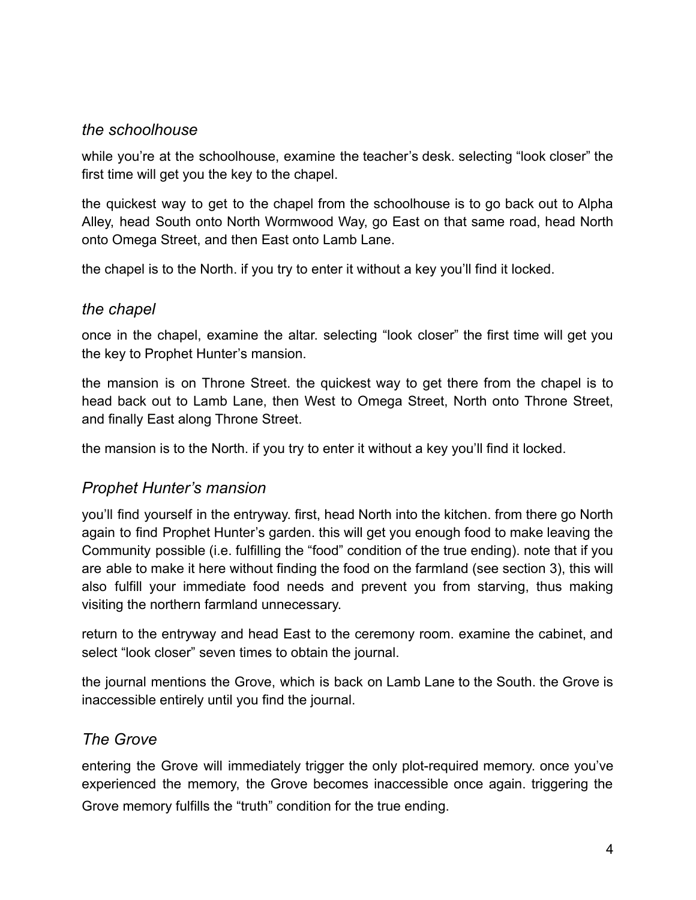#### *the schoolhouse*

while you're at the schoolhouse, examine the teacher's desk. selecting "look closer" the first time will get you the key to the chapel.

the quickest way to get to the chapel from the schoolhouse is to go back out to Alpha Alley, head South onto North Wormwood Way, go East on that same road, head North onto Omega Street, and then East onto Lamb Lane.

the chapel is to the North. if you try to enter it without a key you'll find it locked.

#### *the chapel*

once in the chapel, examine the altar. selecting "look closer" the first time will get you the key to Prophet Hunter's mansion.

the mansion is on Throne Street. the quickest way to get there from the chapel is to head back out to Lamb Lane, then West to Omega Street, North onto Throne Street, and finally East along Throne Street.

the mansion is to the North. if you try to enter it without a key you'll find it locked.

#### *Prophet Hunter's mansion*

you'll find yourself in the entryway. first, head North into the kitchen. from there go North again to find Prophet Hunter's garden. this will get you enough food to make leaving the Community possible (i.e. fulfilling the "food" condition of the true ending). note that if you are able to make it here without finding the food on the farmland (see section 3), this will also fulfill your immediate food needs and prevent you from starving, thus making visiting the northern farmland unnecessary.

return to the entryway and head East to the ceremony room. examine the cabinet, and select "look closer" seven times to obtain the journal.

the journal mentions the Grove, which is back on Lamb Lane to the South. the Grove is inaccessible entirely until you find the journal.

#### *The Grove*

entering the Grove will immediately trigger the only plot-required memory. once you've experienced the memory, the Grove becomes inaccessible once again. triggering the Grove memory fulfills the "truth" condition for the true ending.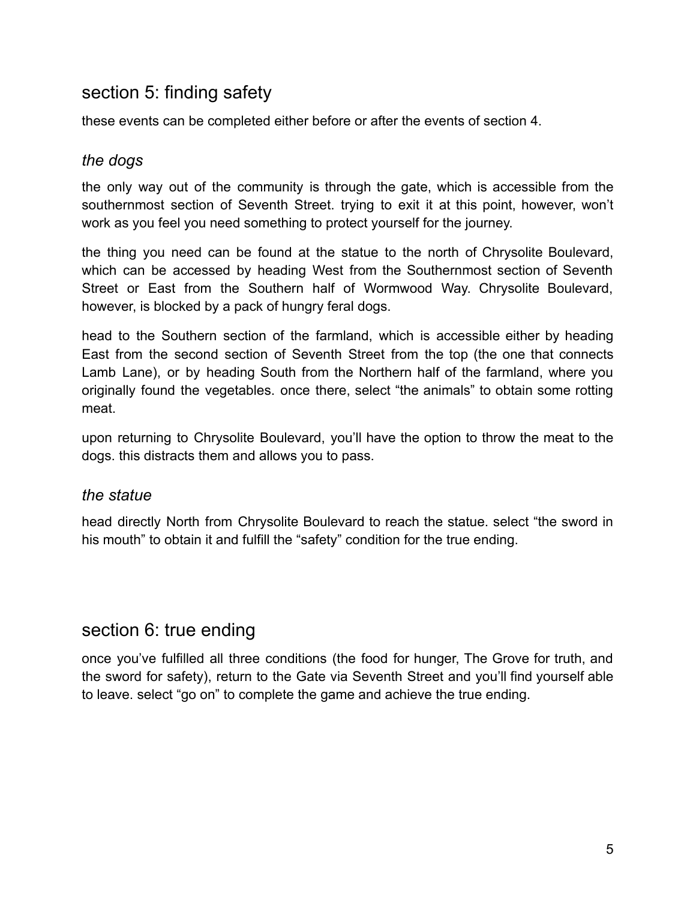## <span id="page-4-0"></span>section 5: finding safety

these events can be completed either before or after the events of section 4.

#### *the dogs*

the only way out of the community is through the gate, which is accessible from the southernmost section of Seventh Street. trying to exit it at this point, however, won't work as you feel you need something to protect yourself for the journey.

the thing you need can be found at the statue to the north of Chrysolite Boulevard, which can be accessed by heading West from the Southernmost section of Seventh Street or East from the Southern half of Wormwood Way. Chrysolite Boulevard, however, is blocked by a pack of hungry feral dogs.

head to the Southern section of the farmland, which is accessible either by heading East from the second section of Seventh Street from the top (the one that connects Lamb Lane), or by heading South from the Northern half of the farmland, where you originally found the vegetables. once there, select "the animals" to obtain some rotting meat.

upon returning to Chrysolite Boulevard, you'll have the option to throw the meat to the dogs. this distracts them and allows you to pass.

#### *the statue*

head directly North from Chrysolite Boulevard to reach the statue. select "the sword in his mouth" to obtain it and fulfill the "safety" condition for the true ending.

## <span id="page-4-1"></span>section 6: true ending

once you've fulfilled all three conditions (the food for hunger, The Grove for truth, and the sword for safety), return to the Gate via Seventh Street and you'll find yourself able to leave. select "go on" to complete the game and achieve the true ending.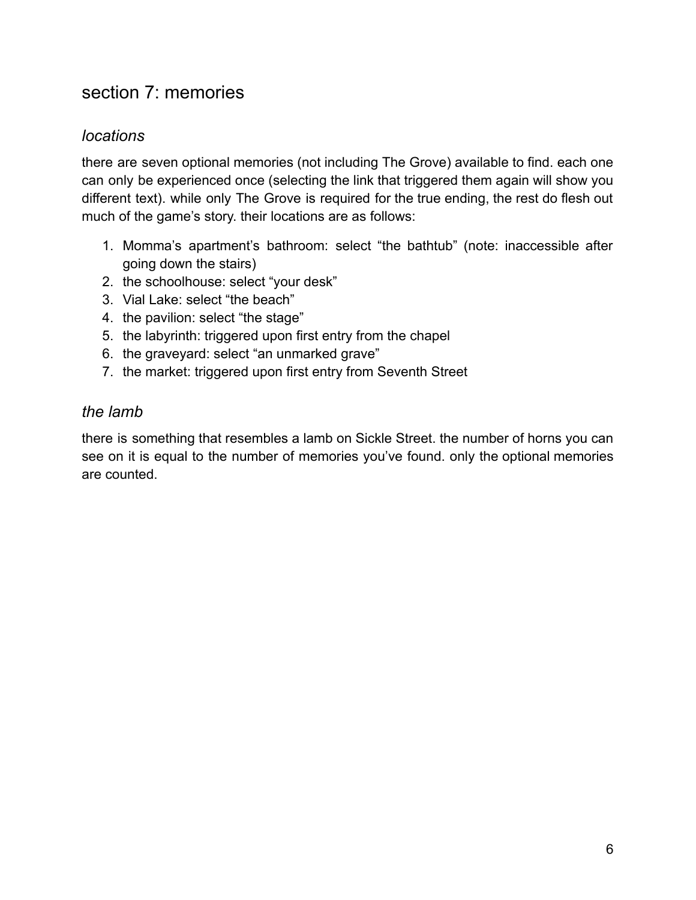## <span id="page-5-0"></span>section 7: memories

### *locations*

there are seven optional memories (not including The Grove) available to find. each one can only be experienced once (selecting the link that triggered them again will show you different text). while only The Grove is required for the true ending, the rest do flesh out much of the game's story. their locations are as follows:

- 1. Momma's apartment's bathroom: select "the bathtub" (note: inaccessible after going down the stairs)
- 2. the schoolhouse: select "your desk"
- 3. Vial Lake: select "the beach"
- 4. the pavilion: select "the stage"
- 5. the labyrinth: triggered upon first entry from the chapel
- 6. the graveyard: select "an unmarked grave"
- 7. the market: triggered upon first entry from Seventh Street

#### *the lamb*

there is something that resembles a lamb on Sickle Street. the number of horns you can see on it is equal to the number of memories you've found. only the optional memories are counted.